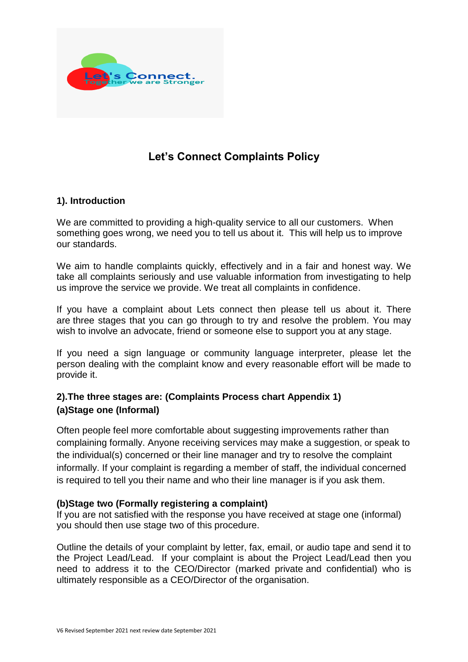

# **Let's Connect Complaints Policy**

### **1). Introduction**

We are committed to providing a high-quality service to all our customers. When something goes wrong, we need you to tell us about it. This will help us to improve our standards.

We aim to handle complaints quickly, effectively and in a fair and honest way. We take all complaints seriously and use valuable information from investigating to help us improve the service we provide. We treat all complaints in confidence.

If you have a complaint about Lets connect then please tell us about it. There are three stages that you can go through to try and resolve the problem. You may wish to involve an advocate, friend or someone else to support you at any stage.

If you need a sign language or community language interpreter, please let the person dealing with the complaint know and every reasonable effort will be made to provide it.

## **2).The three stages are: (Complaints Process chart Appendix 1) (a)Stage one (Informal)**

Often people feel more comfortable about suggesting improvements rather than complaining formally. Anyone receiving services may make a suggestion, or speak to the individual(s) concerned or their line manager and try to resolve the complaint informally. If your complaint is regarding a member of staff, the individual concerned is required to tell you their name and who their line manager is if you ask them.

#### **(b)Stage two (Formally registering a complaint)**

If you are not satisfied with the response you have received at stage one (informal) you should then use stage two of this procedure.

Outline the details of your complaint by letter, fax, email, or audio tape and send it to the Project Lead/Lead. If your complaint is about the Project Lead/Lead then you need to address it to the CEO/Director (marked private and confidential) who is ultimately responsible as a CEO/Director of the organisation.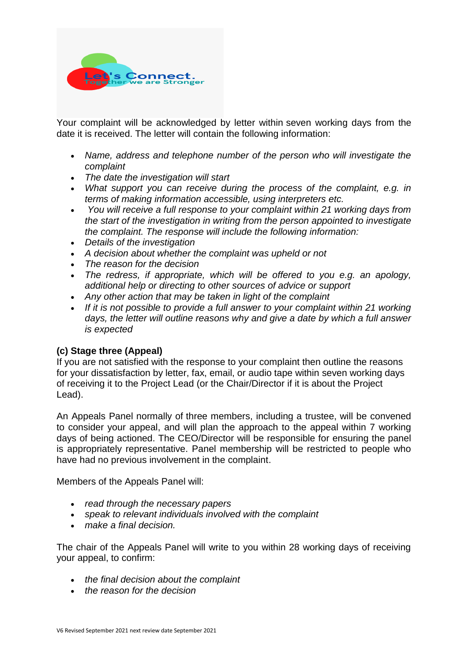

Your complaint will be acknowledged by letter within seven working days from the date it is received. The letter will contain the following information:

- *Name, address and telephone number of the person who will investigate the complaint*
- *The date the investigation will start*
- *What support you can receive during the process of the complaint, e.g. in terms of making information accessible, using interpreters etc.*
- *You will receive a full response to your complaint within 21 working days from the start of the investigation in writing from the person appointed to investigate the complaint. The response will include the following information:*
- *Details of the investigation*
- *A decision about whether the complaint was upheld or not*
- *The reason for the decision*
- *The redress, if appropriate, which will be offered to you e.g. an apology, additional help or directing to other sources of advice or support*
- *Any other action that may be taken in light of the complaint*
- *If it is not possible to provide a full answer to your complaint within 21 working days, the letter will outline reasons why and give a date by which a full answer is expected*

#### **(c) Stage three (Appeal)**

If you are not satisfied with the response to your complaint then outline the reasons for your dissatisfaction by letter, fax, email, or audio tape within seven working days of receiving it to the Project Lead (or the Chair/Director if it is about the Project Lead).

An Appeals Panel normally of three members, including a trustee, will be convened to consider your appeal, and will plan the approach to the appeal within 7 working days of being actioned. The CEO/Director will be responsible for ensuring the panel is appropriately representative. Panel membership will be restricted to people who have had no previous involvement in the complaint.

Members of the Appeals Panel will:

- *read through the necessary papers*
- *speak to relevant individuals involved with the complaint*
- *make a final decision.*

The chair of the Appeals Panel will write to you within 28 working days of receiving your appeal, to confirm:

- *the final decision about the complaint*
- *the reason for the decision*